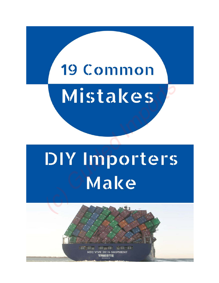# 19 Common

# Mistakes

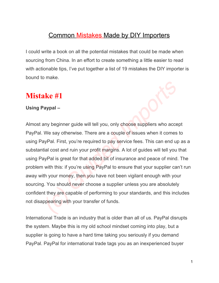### Common Mistakes Made by DIY Importers

I could write a book on all the potential mistakes that could be made when sourcing from China. In an effort to create something a little easier to read with actionable tips, I've put together a list of 19 mistakes the DIY importer is bound to make.

# **Mistake #1**

### **Using Paypal –**

Almost any beginner guide will tell you, only choose suppliers who accept PayPal. We say otherwise. There are a couple of issues when it comes to using PayPal. First, you're required to pay service fees. This can end up as a substantial cost and ruin your profit margins. A lot of guides will tell you that using PayPal is great for that added bit of insurance and peace of mind. The problem with this: if you're using PayPal to ensure that your supplier can't run away with your money, then you have not been vigilant enough with your sourcing. You should never choose a supplier unless you are absolutely confident they are capable of performing to your standards, and this includes not disappearing with your transfer of funds. **ake #1**<br> **Saypal –**<br> **Saypal –**<br> **Saypal –**<br> **Saypal –**<br> **Saypal First, you're required to pay service fees. This can end up<br>
tial cost and ruin your profit margins. A lot of guides will tell you<br>
tial cost and ruin your** 

International Trade is an industry that is older than all of us. PayPal disrupts the system. Maybe this is my old school mindset coming into play, but a supplier is going to have a hard time taking you seriously if you demand PayPal. PayPal for international trade tags you as an inexperienced buyer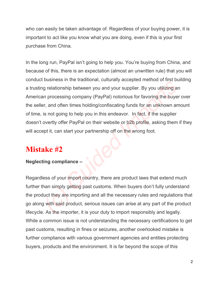who can easily be taken advantage of. Regardless of your buying power, it is important to act like you know what you are doing, even if this is your first purchase from China.

In the long run, PayPal isn't going to help you. You're buying from China, and because of this, there is an expectation (almost an unwritten rule) that you will conduct business in the traditional, culturally accepted method of first building a trusting relationship between you and your supplier. By you utilizing an American processing company (PayPal) notorious for favoring the buyer over the seller, and often times holding/confiscating funds for an unknown amount of time, is not going to help you in this endeavor. In fact, if the supplier doesn't overtly offer PayPal on their website or b2b profile, asking them if they will accept it, can start your partnership off on the wrong foot. Business in the dealthcalt, candrainy decepted method of micked<br>g relationship between you and your supplier. By you utilizing an<br>an processing company (PayPal) notorious for favoring the buye<br>r, and often times holding/co

# **Mistake #2**

### **Neglecting compliance –**

Regardless of your import country, there are product laws that extend much further than simply getting past customs. When buyers don't fully understand the product they are importing and all the necessary rules and regulations that go along with said product, serious issues can arise at any part of the product lifecycle. As the importer, it is your duty to import responsibly and legally. While a common issue is not understanding the necessary certifications to get past customs, resulting in fines or seizures, another overlooked mistake is further compliance with various government agencies and entities protecting buyers, products and the environment. It is far beyond the scope of this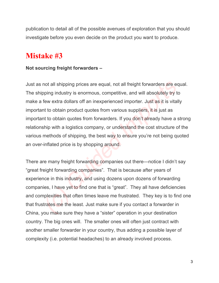publication to detail all of the possible avenues of exploration that you should investigate before you even decide on the product you want to produce.

# **Mistake #3**

### **Not sourcing freight forwarders –**

Just as not all shipping prices are equal, not all freight forwarders are equal. The shipping industry is enormous, competitive, and will absolutely try to make a few extra dollars off an inexperienced importer. Just as it is vitally important to obtain product quotes from various suppliers, it is just as important to obtain quotes from forwarders. If you don't already have a strong relationship with a logistics company, or understand the cost structure of the various methods of shipping, the best way to ensure you're not being quoted an over-inflated price is by shopping around. not all shipping prices are equal, not all freight forwarders are ecoping industry is enormous, competitive, and will absolutely try to few extra dollars off an inexperienced importer. Just as it is vital in to obtain prod

There are many freight forwarding companies out there—notice I didn't say "great freight forwarding companies". That is because after years of experience in this industry, and using dozens upon dozens of forwarding companies, I have yet to find one that is "great". They all have deficiencies and complexities that often times leave me frustrated. They key is to find one that frustrates me the least. Just make sure if you contact a forwarder in China, you make sure they have a "sister" operation in your destination country. The big ones will. The smaller ones will often just contract with another smaller forwarder in your country, thus adding a possible layer of complexity (i.e. potential headaches) to an already involved process.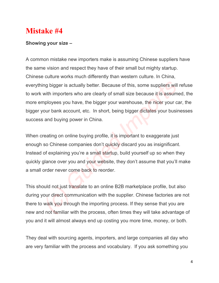### **Showing your size –**

A common mistake new importers make is assuming Chinese suppliers have the same vision and respect they have of their small but mighty startup. Chinese culture works much differently than western culture. In China, everything bigger is actually better. Because of this, some suppliers will refuse to work with importers who are clearly of small size because it is assumed, the more employees you have, the bigger your warehouse, the nicer your car, the bigger your bank account, etc. In short, being bigger dictates your businesses success and buying power in China. ng bigger is actually better. Because of this, some suppliers will<br>with importers who are clearly of small size because it is assum<br>mployees you have, the bigger your warehouse, the nicer your c<br>our bank account, etc. In s

When creating on online buying profile, it is important to exaggerate just enough so Chinese companies don't quickly discard you as insignificant. Instead of explaining you're a small startup, build yourself up so when they quickly glance over you and your website, they don't assume that you'll make a small order never come back to reorder.

This should not just translate to an online B2B marketplace profile, but also during your direct communication with the supplier. Chinese factories are not there to walk you through the importing process. If they sense that you are new and not familiar with the process, often times they will take advantage of you and it will almost always end up costing you more time, money, or both.

They deal with sourcing agents, importers, and large companies all day who are very familiar with the process and vocabulary. If you ask something you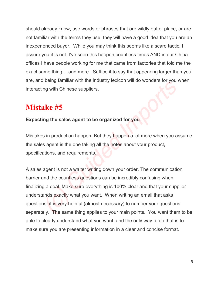should already know, use words or phrases that are wildly out of place, or are not familiar with the terms they use, they will have a good idea that you are an inexperienced buyer. While you may think this seems like a scare tactic, I assure you it is not. I've seen this happen countless times AND in our China offices I have people working for me that came from factories that told me the exact same thing….and more. Suffice it to say that appearing larger than you are, and being familiar with the industry lexicon will do wonders for you when interacting with Chinese suppliers.

# **Mistake #5**

### **Expecting the sales agent to be organized for you –**

Mistakes in production happen. But they happen a lot more when you assume the sales agent is the one taking all the notes about your product, specifications, and requirements.

A sales agent is not a waiter writing down your order. The communication barrier and the countless questions can be incredibly confusing when finalizing a deal. Make sure everything is 100% clear and that your supplier understands exactly what you want. When writing an email that asks questions, it is very helpful (almost necessary) to number your questions separately. The same thing applies to your main points. You want them to be able to clearly understand what you want, and the only way to do that is to make sure you are presenting information in a clear and concise format. Then year of the mustain we may be also sponsor with the massive explorer with the wholes for you<br>and with Chinese suppliers.<br>Sing the sales agent to be organized for you –<br>Sing production happen. But they happen a lot mor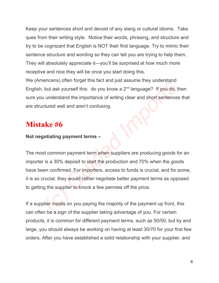Keep your sentences short and devoid of any slang or cultural idioms. Take ques from their writing style. Notice their words, phrasing, and structure and try to be cognizant that English is NOT their first language. Try to mimic their sentence structure and wording so they can tell you are trying to help them. They will absolutely appreciate it—you'll be surprised at how much more receptive and nice they will be once you start doing this.

We (Americans) often forget this fact and just assume they understand English, but ask yourself this: do you know a  $2<sup>nd</sup>$  language? If you do, then sure you understand the importance of writing clear and short sentences that are structured well and aren't confusing.

# **Mistake #6**

### **Not negotiating payment terms –**

The most common payment term when suppliers are producing goods for an importer is a 30% deposit to start the production and 70% when the goods have been confirmed. For importers, access to funds is crucial, and for some, it is so crucial, they would rather negotiate better payment terms as opposed to getting the supplier to knock a few pennies off the price. entions) offer roller this fact and just assume they directed<br>but ask yourself this: do you know a 2<sup>nd</sup> language? If you do, to<br>understand the importance of writing clear and short sentence<br>ctured well and aren't confusin

If a supplier insists on you paying the majority of the payment up front, this can often be a sign of the supplier taking advantage of you. For certain products, it is common for different payment terms, such as 50/50, but by and large, you should always be working on having at least 30/70 for your first few orders. After you have established a solid relationship with your supplier, and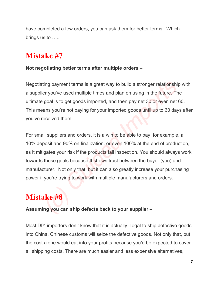have completed a few orders, you can ask them for better terms. Which brings us to …..

# **Mistake #7**

### **Not negotiating better terms after multiple orders –**

Negotiating payment terms is a great way to build a stronger relationship with a supplier you've used multiple times and plan on using in the future. The ultimate goal is to get goods imported, and then pay net 30 or even net 60. This means you're not paying for your imported goods until up to 60 days after you've received them.

For small suppliers and orders, it is a win to be able to pay, for example, a 10% deposit and 90% on finalization, or even 100% at the end of production, as it mitigates your risk if the products fail inspection. You should always work towards these goals because It shows trust between the buyer (you) and manufacturer. Not only that, but it can also greatly increase your purchasing power if you're trying to work with multiple manufacturers and orders. ting payment terms is a great way to build a stronger relationshile er you've used multiple times and plan on using in the future. The goal is to get goods imported, and then pay net 30 or even net ans you're not paying f

# **Mistake #8**

### **Assuming you can ship defects back to your supplier –**

Most DIY importers don't know that it is actually illegal to ship defective goods into China. Chinese customs will seize the defective goods. Not only that, but the cost alone would eat into your profits because you'd be expected to cover all shipping costs. There are much easier and less expensive alternatives,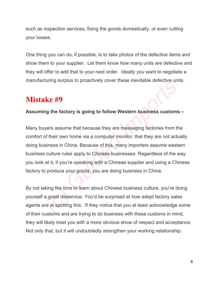such as inspection services, fixing the goods domestically, or even cutting your losses.

One thing you can do, if possible, is to take photos of the defective items and show them to your supplier. Let them know how many units are defective and they will offer to add that to your next order. Ideally you want to negotiate a manufacturing surplus to proactively cover these inevitable defective units.

# **Mistake #9**

### **Assuming the factory is going to follow Western business customs –**

Many buyers assume that because they are messaging factories from the comfort of their own home via a computer monitor, that they are not actually doing business in China. Because of this, many importers assume western business culture rules apply to Chinese businesses. Regardless of the way you look at it, if you're speaking with a Chinese supplier and using a Chinese factory to produce your goods, you are doing business in China. **ake**  $#9$ <br>Ing the factory is going to follow Western business customs<br>vyers assume that because they are messaging factories from the<br>of their own home via a computer monitor, that they are not act<br>usiness in China. Beca

By not taking the time to learn about Chinese business culture, you're doing yourself a great disservice. You'd be surprised at how adept factory sales agents are at spotting this. If they notice that you at least acknowledge some of their customs and are trying to do business with these customs in mind, they will likely treat you with a more obvious show of respect and acceptance. Not only that, but it will undoubtedly strengthen your working relationship.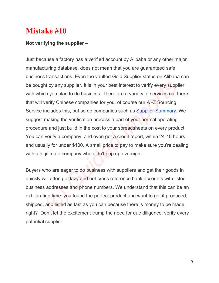### **Not verifying the supplier –**

Just because a factory has a verified account by Alibaba or any other major manufacturing database, does not mean that you are guaranteed safe business transactions. Even the vaulted Gold Supplier status on Alibaba can be bought by any supplier. It is in your best interest to verify every supplier with which you plan to do business. There are a variety of services out there that will verify Chinese companies for you, of course our  $A - Z$  Sourcing Service includes this, but so do companies such as Supplier Summary. We suggest making the verification process a part of your normal operating procedure and just build in the cost to your spreadsheets on every product. You can verify a company, and even get a credit report, within 24-48 hours and usually for under \$100. A small price to pay to make sure you're dealing with a legitimate company who didn't pop up overnight. th by any supplier. It is in your best interest to verify every supplich you plan to do business. There are a variety of services out the verify Chinese companies for you, of course our A-Z Sourcing includes this, but so d

Buyers who are eager to do business with suppliers and get their goods in quickly will often get lazy and not cross reference bank accounts with listed business addresses and phone numbers. We understand that this can be an exhilarating time: you found the perfect product and want to get it produced, shipped, and listed as fast as you can because there is money to be made, right? Don't let the excitement trump the need for due diligence: verify every potential supplier.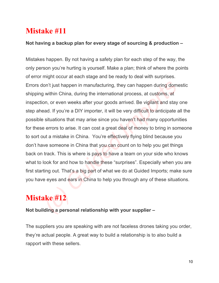### **Not having a backup plan for every stage of sourcing & production –**

Mistakes happen. By not having a safety plan for each step of the way, the only person you're hurting is yourself. Make a plan; think of where the points of error might occur at each stage and be ready to deal with surprises. Errors don't just happen in manufacturing, they can happen during domestic shipping within China, during the international process, at customs, at inspection, or even weeks after your goods arrived. Be vigilant and stay one step ahead. If you're a DIY importer, it will be very difficult to anticipate all the possible situations that may arise since you haven't had many opportunities for these errors to arise. It can cost a great deal of money to bring in someone to sort out a mistake in China. You're effectively flying blind because you don't have someone in China that you can count on to help you get things back on track. This is where is pays to have a team on your side who knows what to look for and how to handle these "surprises". Especially when you are first starting out. That's a big part of what we do at Guided Imports; make sure you have eyes and ears in China to help you through any of these situations. lon't just happen in manufacturing, they can happen during dom<br>y within China, during the international process, at customs, at<br>on, or even weeks after your goods arrived. Be vigilant and stay<br>ead. If you're a DIY importer

# **Mistake #12**

### **Not building a personal relationship with your supplier –**

The suppliers you are speaking with are not faceless drones taking you order, they're actual people. A great way to build a relationship is to also build a rapport with these sellers.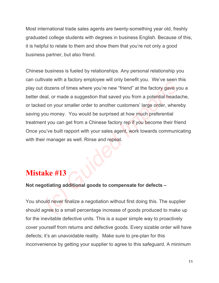Most international trade sales agents are twenty-something year old, freshly graduated college students with degrees in business English. Because of this, it is helpful to relate to them and show them that you're not only a good business partner, but also friend.

Chinese business is fueled by relationships. Any personal relationship you can cultivate with a factory employee will only benefit you. We've seen this play out dozens of times where you're new "friend" at the factory gave you a better deal, or made a suggestion that saved you from a potential headache, or tacked on your smaller order to another customers' large order, whereby saving you money. You would be surprised at how much preferential treatment you can get from a Chinese factory rep if you become their friend Once you've built rapport with your sales agent, work towards communicating with their manager as well. Rinse and repeat. France win a factory employed win only benefit you. We be deen<br>dozens of times where you're new "friend" at the factory gave y<br>eal, or made a suggestion that saved you from a potential head<br>d on your smaller order to anoth

# **Mistake #13**

**Not negotiating additional goods to compensate for defects –**

You should never finalize a negotiation without first doing this. The supplier should agree to a small percentage increase of goods produced to make up for the inevitable defective units. This is a super simple way to proactively cover yourself from returns and defective goods. Every sizable order will have defects; it's an unavoidable reality. Make sure to pre-plan for this inconvenience by getting your supplier to agree to this safeguard. A minimum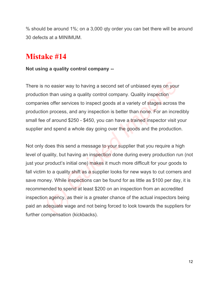% should be around 1%; on a 3,000 qty order you can bet there will be around 30 defects at a MINIMUM.

# **Mistake #14**

### **Not using a quality control company**

There is no easier way to having a second set of unbiased eyes on your production than using a quality control company. Quality inspection companies offer services to inspect goods at a variety of stages across the production process, and any inspection is better than none. For an incredibly small fee of around \$250 - \$450, you can have a trained inspector visit your supplier and spend a whole day going over the goods and the production.

Not only does this send a message to your supplier that you require a high level of quality, but having an inspection done during every production run (not just your product's initial one) makes it much more difficult for your goods to fall victim to a quality shift as a supplier looks for new ways to cut corners and save money. While inspections can be found for as little as \$100 per day, it is recommended to spend at least \$200 on an inspection from an accredited inspection agency, as their is a greater chance of the actual inspectors being paid an adequate wage and not being forced to look towards the suppliers for further compensation (kickbacks). is no easier way to having a second set of unbiased eyes on your than using a quality control company. Quality inspection is offer services to inspect goods at a variety of stages across ion process, and any inspection is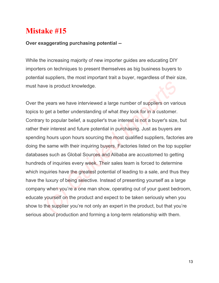### **Over exaggerating purchasing potential**

While the increasing majority of new importer guides are educating DIY importers on techniques to present themselves as big business buyers to potential suppliers, the most important trait a buyer, regardless of their size, must have is product knowledge.

Over the years we have interviewed a large number of suppliers on various topics to get a better understanding of what *they* look for in a customer. Contrary to popular belief, a supplier's true interest is not a buyer's size, but rather their interest and future potential in purchasing. Just as buyers are spending hours upon hours sourcing the most qualified suppliers, factories are doing the same with their inquiring buyers. Factories listed on the top supplier databases such as Global Sources and Alibaba are accustomed to getting hundreds of inquiries every week. Their sales team is forced to determine which inquiries have the greatest potential of leading to a sale, and thus they have the luxury of being selective. Instead of presenting yourself as a large company when you're a one man show, operating out of your guest bedroom, educate yourself on the product and expect to be taken seriously when you show to the supplier you're not only an expert in the product, but that you're serious about production and forming a long-term relationship with them. In the sypan we is product knowledge.<br>
See years we have interviewed a large number of suppliers on variand the sylock for in a customer.<br>
Subsequent the sylock for in a customer.<br>
Subsequent interest and future potential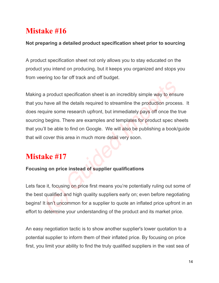### **Not preparing a detailed product specification sheet prior to sourcing**

A product specification sheet not only allows you to stay educated on the product you intend on producing, but it keeps you organized and stops you from veering too far off track and off budget.

Making a product specification sheet is an incredibly simple way to ensure that you have all the details required to streamline the production process. It does require some research upfront, but immediately pays off once the true sourcing begins. There are examples and templates for product spec sheets that you'll be able to find on Google. We will also be publishing a book/guide that will cover this area in much more detail very soon. a product specification sheet is an incredibly simple way to ensume that the details required to streamline the production processurie some research upfront, but immediately pays off once the product spec shift be able to

# **Mistake #17**

### **Focusing on price instead of supplier qualifications**

Lets face it, focusing on price first means you're potentially ruling out some of the best qualified and high quality suppliers early on; even before negotiating begins! It isn't uncommon for a supplier to quote an inflated price upfront in an effort to determine your understanding of the product and its market price.

An easy negotiation tactic is to show another supplier's lower quotation to a potential supplier to inform them of their inflated price. By focusing on price first, you limit your ability to find the truly qualified suppliers in the vast sea of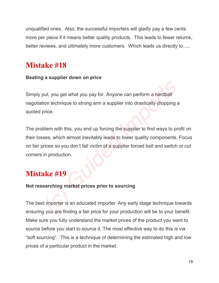unqualified ones. Also, the successful importers will gladly pay a few cents more per piece if it means better quality products. This leads to fewer returns, better reviews, and ultimately more customers. Which leads us directly to…..

# **Mistake #18**

### **Beating a supplier down on price**

Simply put, you get what you pay for. Anyone can perform a hardball negotiation technique to strong arm a supplier into drastically dropping a quoted price.

The problem with this, you end up forcing the supplier to find ways to profit on their losses, which almost inevitably leads to lower quality components. Focus on fair prices so you don't fall victim of a supplier forced bait and switch or cut corners in production. out, you get what you pay for. Anyone can perform a hardball<br>tion technique to strong arm a supplier into drastically dropping a<br>price.<br>blem with this, you end up forcing the supplier to find ways to pr<br>ses, which almost i

# **Mistake #19**

### **Not researching market prices prior to sourcing**

The best importer is an educated importer. Any early stage technique towards ensuring you are finding a fair price for your production will be to your benefit. Make sure you fully understand the market prices of the product you want to source before you start to source it. The most effective way to do this is via "soft sourcing". This is a technique of determining the estimated high and low prices of a particular product in the market.